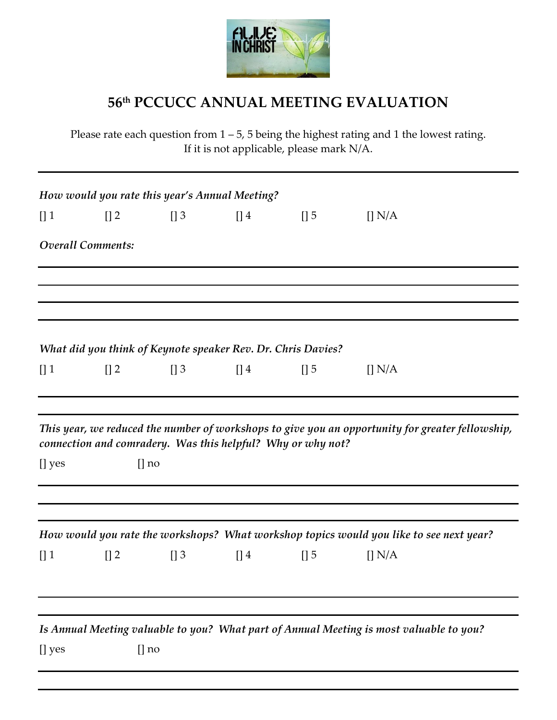

## **56th PCCUCC ANNUAL MEETING EVALUATION**

Please rate each question from  $1 - 5$ , 5 being the highest rating and 1 the lowest rating. If it is not applicable, please mark N/A.

|        |                          |             | How would you rate this year's Annual Meeting? |                                                              |                                                                                                  |  |
|--------|--------------------------|-------------|------------------------------------------------|--------------------------------------------------------------|--------------------------------------------------------------------------------------------------|--|
| $[]$ 1 | $[]$ 2                   | $\prod$ 3   | $\prod$ 4                                      | $\left[\right]$ 5                                            | $\prod N/A$                                                                                      |  |
|        | <b>Overall Comments:</b> |             |                                                |                                                              |                                                                                                  |  |
|        |                          |             |                                                |                                                              |                                                                                                  |  |
|        |                          |             |                                                | What did you think of Keynote speaker Rev. Dr. Chris Davies? |                                                                                                  |  |
| $[]$ 1 | $\prod 2$                | $\prod$ 3   | $[]$ 4                                         | $[]$ 5                                                       | $\prod N/A$                                                                                      |  |
| [] yes |                          | $\lceil$ no |                                                | connection and comradery. Was this helpful? Why or why not?  | This year, we reduced the number of workshops to give you an opportunity for greater fellowship, |  |
|        |                          |             |                                                |                                                              | How would you rate the workshops? What workshop topics would you like to see next year?          |  |
| $[]$ 1 | $[]$ 2                   | $\prod$ 3   | $[]$ 4                                         | $[]$ 5                                                       | $\prod N/A$                                                                                      |  |
|        |                          |             |                                                |                                                              | Is Annual Meeting valuable to you? What part of Annual Meeting is most valuable to you?          |  |
| [] yes |                          | $\lceil$ no |                                                |                                                              |                                                                                                  |  |